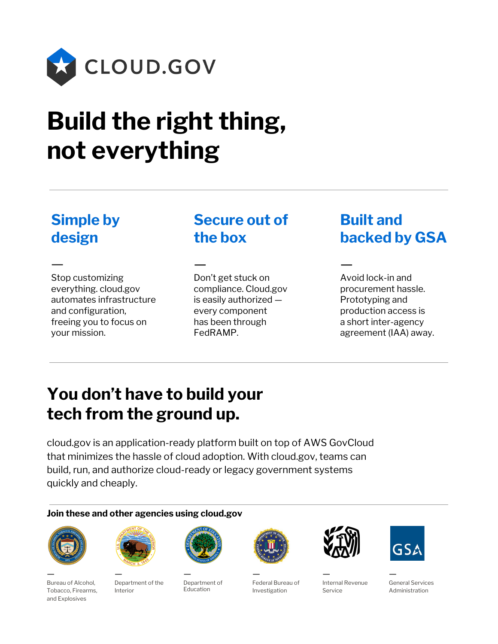

# **Build the right thing, not everything**

#### **Simple by design**

— Stop customizing everything. cloud.gov automates infrastructure and configuration, freeing you to focus on your mission.

## **Secure out of the box**

—

Don't get stuck on compliance. Cloud.gov is easily authorized every component has been through FedRAMP.

## **Built and backed by GSA**

Avoid lock-in and procurement hassle. Prototyping and production access is a short inter-agency agreement (IAA) away.

—

# **You don't have to build your tech from the ground up.**

cloud.gov is an application-ready platform built on top of AWS GovCloud that minimizes the hassle of cloud adoption. With cloud.gov, teams can build, run, and authorize cloud-ready or legacy government systems quickly and cheaply.

#### **Join these and other agencies using cloud.gov**



— Bureau of Alcohol, Tobacco, Firearms, and Explosives



— Department of the Interior

— Department of Education



— Federal Bureau of Investigation



Internal Revenue Service

—



— General Services Administration